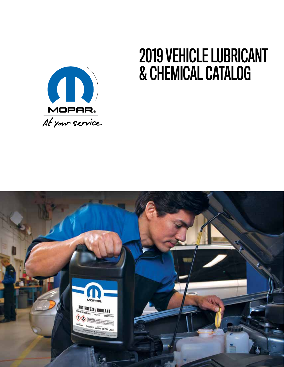

# 2019 VEHICLE LUBRICANT & CHEMICAL CATALOG

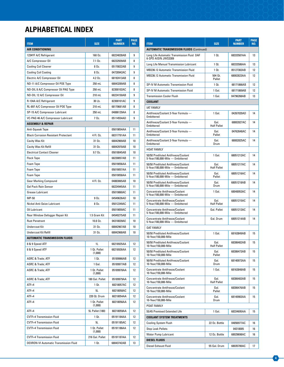## **ALPHABETICAL INDEX**

| <b>ITEM</b>                                 | <b>SIZE</b>             | <b>PART</b><br><b>NUMBER</b> | <b>PAGE</b><br>NO. |
|---------------------------------------------|-------------------------|------------------------------|--------------------|
| AIR CONDITIONING                            |                         |                              |                    |
| 1234YF A/C Refrigerant                      | 160 Oz.                 | 68224028AB                   | 9                  |
| A/C Compressor Oil                          | 7.1 Oz.                 | 68232939AB                   | 8                  |
| <b>Cooling Coil Cleaner</b>                 | 8 Oz.                   | 05170022AB                   | 9                  |
| <b>Cooling Coil Coating</b>                 | 8 Oz.                   | 04728942AC                   | 9                  |
| Electric A/C Compressor Oil                 | 4.2 Oz.                 | 68192413AB                   | 8                  |
| ND-11 A/C Compressor Oil POE Type           | 250 mL                  | 68043289AB                   | 8                  |
| ND-OIL 8 A/C Compressor Oil PAG Type        | 250 mL                  | 82300102AC                   | 8                  |
| ND-OIL 12 A/C Compressor Oil                | 210 mL                  | 68224150AB                   | 9                  |
| R-134A A/C Refrigerant                      | 30 Lb.                  | 82300101AC                   | 9                  |
| RL-897 A/C Compressor Oil POE Type          | 210 mL                  | 68170681AB                   | 8                  |
| SP-15 A/C Compressor Lubricant              | 250 mL                  | 04886129AA                   | 8                  |
| VC-PAG 46 A/C Compressor Lubricant          | 7 Oz.                   | 05114554AD                   | 9                  |
| <b>ASSEMBLY &amp; REPAIR</b>                |                         |                              |                    |
| Anti-Squeak Tape                            |                         | 05019054AA                   | 11                 |
| <b>Black Corrosion Resistant Protectant</b> | 4 Fl. 0z.               | 68317791AA                   | 11                 |
| <b>Cavity Wax Kit</b>                       | 31 Oz.                  | 68042969AB                   | 10                 |
| Cavity Wax Kit Refill                       | 31 Oz.                  | 68042970AB                   | 10                 |
| <b>Electrical Contact Cleaner</b>           | 9.7 Oz.                 | 05018045AB                   | 10                 |
| <b>Flock Tape</b>                           |                         | 68230057AB                   | 11                 |
| Foam Tape                                   |                         | 05019056AA                   | 11                 |
| Foam Tape                                   |                         | 05019057AA                   | 11                 |
| Foam Tape                                   |                         | 05019058AA                   | 11                 |
| <b>Gear Marking Compound</b>                | 4 Fl. Oz.               | 04883065AB                   | 10                 |
| <b>Gel Pack Rain Sensor</b>                 |                         | 68224945AA                   | 11                 |
| Grease Lubricant                            |                         | 05019060AC                   | 11                 |
| MP-50                                       | 9 Oz.                   | 04549626AD                   | 10                 |
| Nickel Anti-Seize Lubricant                 | 8 Oz.                   | 05012249AC                   | 11                 |
| Oil Lubricant                               |                         | 05019059AC                   | 11                 |
| Rear Window Defogger Repair Kit             | 1.5 Gram Kit            | 04549275AB                   | 11                 |
| <b>Rust Penetrant</b>                       | 10.8 Oz.                | 04318039AE                   | 10                 |
| <b>Undercoat Kit</b>                        | 31 Oz.                  | 68042967AB                   | 10                 |
| <b>Undercoat Kit Refill</b>                 | 31 Oz.                  | 68042968AB                   | 10                 |
| <b>AUTOMATIC TRANSMISSION FLUIDS</b>        |                         |                              |                    |
| 8 & 9 Speed ATF                             | 1L                      | 68218925AA                   | 12                 |
| 8 & 9 Speed ATF                             | 1 Qt. Pallet<br>(1,008) | 68218926AA                   | 12                 |
| ASRC & Trade; ATF                           | 1 Qt.                   | 05189966AB                   | 12                 |
| ASRC & Trade; ATF                           | 1 Gal.                  | 05189977AB                   | 12                 |
| ASRC & Trade; ATF                           | 1 Qt. Pallet<br>(1,008) | 05189978AA                   | 12                 |
| ASRC & Trade; ATF                           | 180 Gal. Pallet         | 05189979AA                   | 12                 |
| $ATF+4$                                     | 1 Qt.                   | 68218057AC                   | 12                 |
| $ATF+4$                                     | 5L                      | 68218058AC                   | 12                 |
| $ATF+4$                                     | 220 Qt. Drum            | 68218054AA                   | 12                 |
| $ATF+4$                                     | 1 Qt. Pallet<br>(1,008) | 68218056AA                   | 12                 |
| $ATF+4$                                     | 5L Pallet (180)         | 68218059AA                   | 12                 |
| CVTF+4 Transmission Fluid                   | 1 Qt.                   | 05191184AA                   | 12                 |
| CVTF+4 Transmission Fluid                   | 5L                      | 05191185AC                   | 12                 |
| <b>CVTF+4 Transmission Fluid</b>            | 1 Qt. Pallet<br>(1,008) | 05191186AA                   | 12                 |
| CVTF+4 Transmission Fluid                   | 216 Gal. Pallet         | 05191187AA                   | 12                 |
| DEXRON-VI Automatic Transmission Fluid      | 1 Qt.                   | 68043742AB                   | 13                 |

|                                                                           |                            | <b>PART</b>   | <b>PAGE</b> |
|---------------------------------------------------------------------------|----------------------------|---------------|-------------|
| <b>ITEM</b>                                                               | <b>SIZE</b>                | <b>NUMBER</b> | NO.         |
| <b>AUTOMATIC TRANSMISSION FLUIDS (Continued)</b>                          |                            |               |             |
| Long Life Automatic Transmission Fluid DAF<br>6-SPD AISIN JWS3309         | 1 Qt.                      | 68333587AA    | 13          |
| Long Life Manual Transmission Lubricant                                   | 1 Qt.                      | 68333586AA    | 13          |
| MB236.12 Automatic Transmission Fluid                                     | 1 Qt.                      | 05127382AB    | 12          |
| MB236.12 Automatic Transmission Fluid                                     | 504 Qt.<br>Pallet          | 68002823AA    | 12          |
| SP-IV M Automatic Transmission Fluid                                      | 1 Qt.                      | 68171866AB    | 12          |
| SP-IV M Automatic Transmission Fluid                                      | 1 Gal.                     | 68171869AB    | 12          |
| <b>Transmission Cooler Flush</b>                                          | 1 Gal.                     | 04796268AB    | 13          |
| <b>COOLANT</b>                                                            |                            |               |             |
| <b>IAT FAMILY</b>                                                         |                            |               |             |
| Antifreeze/Coolant 3-Year Formula -<br>Embittered                         | 1 Gal.                     | 04267020AD    | 14          |
| Antifreeze/Coolant 3-Year Formula -<br>Embittered                         | Gal.<br><b>Half Pallet</b> | 68002827AC    | 14          |
| Antifreeze/Coolant 3-Year Formula -<br>Embittered                         | Gal.<br>Pallet             | 04762648AC    | 14          |
| Antifreeze/Coolant 3-Year Formula -<br>Embittered                         | Gal.<br>Drum               | 68002825AC    | 14          |
| <b>HOAT FAMILY</b>                                                        |                            |               |             |
| 50/50 Prediluted Antifreeze/Coolant<br>5-Year/100,000-Mile - Embittered   | 1 Gal.                     | 68051212AC    | 14          |
| 50/50 Prediluted Antifreeze/Coolant<br>5-Year/100,000-Mile - Embittered   | Gal.<br><b>Half Pallet</b> | 68051217AC    | 14          |
| 50/50 Prediluted Antifreeze/Coolant<br>5-Year/100,000-Mile - Embittered   | Gal.<br>Pallet             | 68051216AC    | 14          |
| 50/50 Prediluted Antifreeze/Coolant<br>5-Year/100,000-Mile - Embittered   | Gal.<br>Drum               | 68051218AB    | 14          |
| <b>Concentrate Antifreeze/Coolant</b><br>5-Year/100,000-Mile - Embittered | 1 Gal.                     | 68048953AC    | 14          |
| Concentrate Antifreeze/Coolant<br>5-Year/100,000-Mile - Embittered        | Gal.<br><b>Half Pallet</b> | 68051215AC    | 14          |
| Concentrate Antifreeze/Coolant<br>5-Year/100,000-Mile - Embittered        | Gal. Pallet                | 68051213AC    | 14          |
| <b>Concentrate Antifreeze/Coolant</b><br>5-Year/100,000-Mile - Embittered | Gal. Drum                  | 68051214AB    | 14          |
| <b>OAT FAMILY</b>                                                         |                            |               |             |
| 50/50 Prediluted Antifreeze/Coolant<br>10-Year/150,000-Mile               | 1 Gal.                     | 68163849AB    | 15          |
| 50/50 Prediluted Antifreeze/Coolant<br>10-Year/150,000-Mile               | Gal.<br><b>Half Pallet</b> | 68306482AB    | 15          |
| 50/50 Prediluted Antifreeze/Coolant<br>10-Year/150,000-Mile               | Gal.<br>Pallet             | 68306473AB    | 15          |
| 50/50 Prediluted Antifreeze/Coolant<br>10-Year/150,000-Mile               | Gal.<br>Drum               | 68140973AA    | 15          |
| <b>Concentrate Antifreeze/Coolant</b><br>10-Year/150,000-Mile             | 1 Gal.                     | 68163848AB    | 15          |
| <b>Concentrate Antifreeze/Coolant</b><br>10-Year/150,000-Mile             | Gal.<br><b>Half Pallet</b> | 68306483AB    | 15          |
| Concentrate Antifreeze/Coolant<br>10-Year/150,000-Mile                    | Gal.<br>Pallet             | 68306476AB    | 15          |
| <b>Concentrate Antifreeze/Coolant</b><br>10-Year/150,000-Mile             | Gal.<br>Drum               | 68140983AA    | 15          |
| POAT FAMILY                                                               |                            |               |             |
| 55/45 Premixed Extended Life                                              | 1 Gal.                     | 68334695AA    | 15          |
| <b>COOLANT SYSTEM TREATMENTS</b>                                          |                            |               |             |
| <b>Cooling System Flush</b>                                               | 22 Oz. Bottle              | 04856977AC    | 16          |
| <b>Stop Leak Pellets</b>                                                  |                            | 04318005      | 16          |
| Water Pump Lubricant                                                      | 12 Oz. Bottle              | 68029698AC    | 16          |
| DIESEL FLUIDS                                                             |                            |               |             |
| Diesel Exhaust Fluid                                                      | 55 Gal. Drum               | 68035700AC    | 17          |